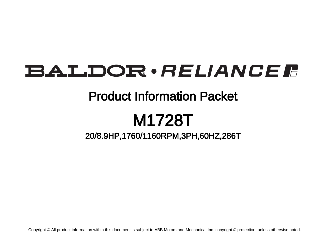## BALDOR · RELIANCE F

### Product Information Packet

# M1728T

20/8.9HP,1760/1160RPM,3PH,60HZ,286T

Copyright © All product information within this document is subject to ABB Motors and Mechanical Inc. copyright © protection, unless otherwise noted.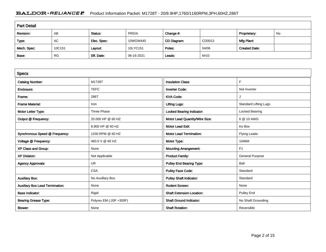### BALDOR · RELIANCE Froduct Information Packet: M1728T - 20/8.9HP,1760/1160RPM,3PH,60HZ,286T

| <b>Part Detail</b> |           |             |            |             |        |                      |    |  |
|--------------------|-----------|-------------|------------|-------------|--------|----------------------|----|--|
| Revision:          | AB        | Status:     | PRD/A      | Change #:   |        | Proprietary:         | No |  |
| Type:              | AC        | Elec. Spec: | 10WGW440   | CD Diagram: | CD0013 | Mfg Plant:           |    |  |
| Mech. Spec:        | 10C151    | Layout:     | 10LYC151   | Poles:      | 04/06  | <b>Created Date:</b> |    |  |
| Base:              | <b>RG</b> | Eff. Date:  | 06-16-2021 | Leads:      | 6#10   |                      |    |  |

| <b>Specs</b>                           |                         |                                  |                              |
|----------------------------------------|-------------------------|----------------------------------|------------------------------|
| <b>Catalog Number:</b>                 | M1728T                  | <b>Insulation Class:</b>         | F                            |
| Enclosure:                             | <b>TEFC</b>             | <b>Inverter Code:</b>            | Not Inverter                 |
| Frame:                                 | 286T                    | <b>KVA Code:</b>                 | J                            |
| <b>Frame Material:</b>                 | Iron                    | <b>Lifting Lugs:</b>             | <b>Standard Lifting Lugs</b> |
| Motor Letter Type:                     | Three Phase             | <b>Locked Bearing Indicator:</b> | Locked Bearing               |
| Output @ Frequency:                    | 20.000 HP @ 60 HZ       | Motor Lead Quantity/Wire Size:   | 6 @ 10 AWG                   |
|                                        | 8.900 HP @ 60 HZ        | <b>Motor Lead Exit:</b>          | Ko Box                       |
| Synchronous Speed @ Frequency:         | 1200 RPM @ 60 HZ        | <b>Motor Lead Termination:</b>   | <b>Flying Leads</b>          |
| Voltage @ Frequency:                   | 460.0 V @ 60 HZ         | Motor Type:                      | 1046M                        |
| XP Class and Group:                    | None                    | <b>Mounting Arrangement:</b>     | F <sub>1</sub>               |
| <b>XP Division:</b>                    | Not Applicable          | <b>Product Family:</b>           | <b>General Purpose</b>       |
| <b>Agency Approvals:</b>               | <b>UR</b>               | <b>Pulley End Bearing Type:</b>  | Ball                         |
|                                        | <b>CSA</b>              | <b>Pulley Face Code:</b>         | Standard                     |
| <b>Auxillary Box:</b>                  | No Auxillary Box        | <b>Pulley Shaft Indicator:</b>   | Standard                     |
| <b>Auxillary Box Lead Termination:</b> | None                    | <b>Rodent Screen:</b>            | None                         |
| <b>Base Indicator:</b>                 | Rigid                   | <b>Shaft Extension Location:</b> | Pulley End                   |
| <b>Bearing Grease Type:</b>            | Polyrex EM (-20F +300F) | <b>Shaft Ground Indicator:</b>   | No Shaft Grounding           |
| <b>Blower:</b>                         | None                    | <b>Shaft Rotation:</b>           | Reversible                   |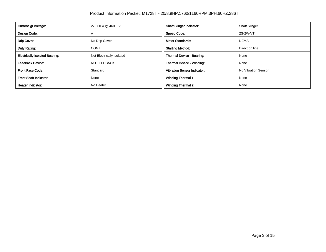| Current @ Voltage:                    | 27.000 A @ 460.0 V        | <b>Shaft Slinger Indicator:</b>    | <b>Shaft Slinger</b> |
|---------------------------------------|---------------------------|------------------------------------|----------------------|
| Design Code:                          | A                         | <b>Speed Code:</b>                 | 2S-2W-VT             |
| Drip Cover:                           | No Drip Cover             | <b>Motor Standards:</b>            | <b>NEMA</b>          |
| Duty Rating:                          | <b>CONT</b>               | <b>Starting Method:</b>            | Direct on line       |
| <b>Electrically Isolated Bearing:</b> | Not Electrically Isolated | Thermal Device - Bearing:          | None                 |
| <b>Feedback Device:</b>               | NO FEEDBACK               | <b>Thermal Device - Winding:</b>   | None                 |
| <b>Front Face Code:</b>               | Standard                  | <b>Vibration Sensor Indicator:</b> | No Vibration Sensor  |
| <b>Front Shaft Indicator:</b>         | None                      | <b>Winding Thermal 1:</b>          | None                 |
| Heater Indicator:                     | No Heater                 | <b>Winding Thermal 2:</b>          | None                 |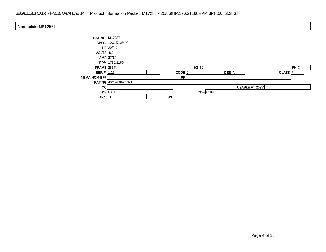| Nameplate NP1256L     |                     |    |                   |            |                |                    |  |  |
|-----------------------|---------------------|----|-------------------|------------|----------------|--------------------|--|--|
| <b>CAT.NO.</b> M1728T |                     |    |                   |            |                |                    |  |  |
|                       | SPEC. 10C151W440    |    |                   |            |                |                    |  |  |
|                       | $HP$  20/8.9        |    |                   |            |                |                    |  |  |
| $VOLTS$ 460           |                     |    |                   |            |                |                    |  |  |
|                       | AMP $27/14$         |    |                   |            |                |                    |  |  |
|                       | RPM 1760/1160       |    |                   |            |                |                    |  |  |
| $FRAME$ 286T          |                     |    | $HZ$ 60           |            |                | PH 3               |  |  |
| <b>SER.F.</b> 1.15    |                     |    | CODE <sup>J</sup> | DES A      |                | CLASS <sup>F</sup> |  |  |
| NEMA-NOM-EFF          |                     |    | PF                |            |                |                    |  |  |
|                       | RATING 40C AMB-CONT |    |                   |            |                |                    |  |  |
| CC                    |                     |    |                   |            | USABLE AT 208V |                    |  |  |
|                       | <b>DE</b> 6311      |    |                   | $ODE$ 6309 |                |                    |  |  |
| <b>ENCL</b> TEFC      |                     | SN |                   |            |                |                    |  |  |
|                       |                     |    |                   |            |                |                    |  |  |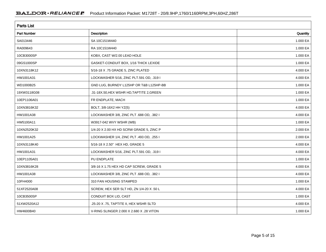| <b>Parts List</b>  |                                           |          |  |  |  |  |
|--------------------|-------------------------------------------|----------|--|--|--|--|
| <b>Part Number</b> | Description                               | Quantity |  |  |  |  |
| SA013446           | SA 10C151W440                             | 1.000 EA |  |  |  |  |
| RA009643           | RA 10C151W440                             | 1.000 EA |  |  |  |  |
| 10CB3000SP         | KOBX, CAST W/2.00 LEAD HOLE               | 1.000 EA |  |  |  |  |
| 09GS1000SP         | GASKET-CONDUIT BOX, 1/16 THICK LEXIDE     | 1.000 EA |  |  |  |  |
| 10XN3118K12        | 5/16-18 X .75 GRADE 5, ZINC PLATED        | 4.000 EA |  |  |  |  |
| HW1001A31          | LOCKWASHER 5/16, ZINC PLT.591 OD, .319 I  | 4.000 EA |  |  |  |  |
| WD1000B25          | GND LUG, BURNDY L125HP OR T&B L125HP-BB   | 1.000 EA |  |  |  |  |
| 19XW3118G08        | .31-18X.50, HEX WSHR HD, TAPTITE 2, GREEN | 1.000 EA |  |  |  |  |
| 10EP1106A01        | FR ENDPLATE, MACH                         | 1.000 EA |  |  |  |  |
| 10XN3816K32        | BOLT, 3/8-16X2 HH YZ(5)                   | 4.000 EA |  |  |  |  |
| HW1001A38          | LOCKWASHER 3/8, ZINC PLT .688 OD, .382 I  | 4.000 EA |  |  |  |  |
| HW5100A11          | W3917-042 WVY WSHR (WB)                   | 1.000 EA |  |  |  |  |
| 10XN2520K32        | 1/4-20 X 2.00 HX HD SCRW GRADE 5, ZINC P  | 2.000 EA |  |  |  |  |
| HW1001A25          | LOCKWASHER 1/4, ZINC PLT .493 OD, .255 I  | 2.000 EA |  |  |  |  |
| 10XN3118K40        | 5/16-18 X 2.50" HEX HD, GRADE 5           | 4.000 EA |  |  |  |  |
| HW1001A31          | LOCKWASHER 5/16, ZINC PLT.591 OD, .319 I  | 4.000 EA |  |  |  |  |
| 10EP1105A01        | PU ENDPLATE                               | 1.000 EA |  |  |  |  |
| 10XN3816K28        | 3/8-16 X 1.75 HEX HD CAP SCREW, GRADE 5   | 4.000 EA |  |  |  |  |
| HW1001A38          | LOCKWASHER 3/8, ZINC PLT .688 OD, .382 I  | 4.000 EA |  |  |  |  |
| 10FH4000           | 310 FAN HOUSING STAMPED                   | 1.000 EA |  |  |  |  |
| 51XF2520A08        | SCREW, HEX SER SLT HD, ZN 1/4-20 X .50 L  | 4.000 EA |  |  |  |  |
| 10CB3500SP         | CONDUIT BOX LID, CAST                     | 1.000 EA |  |  |  |  |
| 51XW2520A12        | .25-20 X .75, TAPTITE II, HEX WSHR SLTD   | 4.000 EA |  |  |  |  |
| HW4600B40          | V-RING SLINGER 2.000 X 2.680 X .28 VITON  | 1.000 EA |  |  |  |  |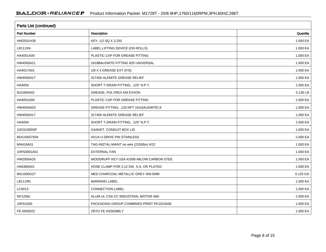| <b>Parts List (continued)</b> |                                          |          |  |  |  |
|-------------------------------|------------------------------------------|----------|--|--|--|
| <b>Part Number</b>            | Description                              | Quantity |  |  |  |
| HW2501H28                     | KEY, 1/2 SQ X 3.250                      | 1.000 EA |  |  |  |
| <b>LB1115N</b>                | LABEL, LIFTING DEVICE (ON ROLLS)         | 1.000 EA |  |  |  |
| HA4051A00                     | PLASTIC CAP FOR GREASE FITTING           | 1.000 EA |  |  |  |
| HW4500A21                     | 1618BALEMITE FITTING 825 UNIVERSAL       | 1.000 EA |  |  |  |
| HA4017A01                     | 1/8 X 4 GREASE EXT (F/S)                 | 1.000 EA |  |  |  |
| HW4500A17                     | 317400 ALEMITE GREASE RELIEF             | 1.000 EA |  |  |  |
| HA4054                        | SHORT T-DRAIN FITTING, .125" N.P.T.      | 1.000 EA |  |  |  |
| MJ1000A02                     | GREASE, POLYREX EM EXXON                 | 0.130 LB |  |  |  |
| HA4051A00                     | PLASTIC CAP FOR GREASE FITTING           | 1.000 EA |  |  |  |
| HW4500A03                     | GREASE FITTING, .125 NPT 1610(ALEMITE) 8 | 1.000 EA |  |  |  |
| HW4500A17                     | 317400 ALEMITE GREASE RELIEF             | 1.000 EA |  |  |  |
| HA4054                        | SHORT T-DRAIN FITTING, .125" N.P.T.      | 1.000 EA |  |  |  |
| 10GS1000SP                    | GASKET, CONDUIT BOX LID                  | 1.000 EA |  |  |  |
| 85XU0407S04                   | 4X1/4 U DRIVE PIN STAINLESS              | 2.000 EA |  |  |  |
| MN416A01                      | TAG-INSTAL-MAINT no wire (2100/bx) 4/22  | 1.000 EA |  |  |  |
| 10FN3001A01                   | <b>EXTERNAL FAN</b>                      | 1.000 EA |  |  |  |
| HW2500A25                     | WOODRUFF KEY USA #1008 #BLOW CARBON STEE | 1.000 EA |  |  |  |
| HA6390A01                     | HOSE CLAMP FOR 3.12 DIA S.S. OR PLATED   | 1.000 EA |  |  |  |
| MG1000G27                     | MED CHARCOAL METALLIC GREY 400-0096      | 0.125 GA |  |  |  |
| LB1119N                       | <b>WARNING LABEL</b>                     | 1.000 EA |  |  |  |
| LC0013                        | <b>CONNECTION LABEL</b>                  | 1.000 EA |  |  |  |
| <b>NP1256L</b>                | ALUM UL CSA CC INDUSTRIAL MOTOR A60      | 1.000 EA |  |  |  |
| 10PA1000                      | PACKAGING GROUP COMBINED PRINT PK1023A06 | 1.000 EA |  |  |  |
| FE-0000022                    | ZRTG FE ASSEMBLY                         | 1.000 EA |  |  |  |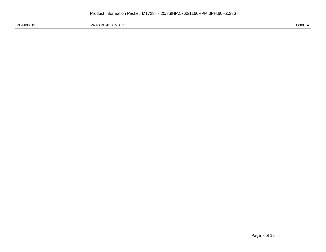| PE-0000013 | $\sim$ $\sim$ $\sim$<br>MRI<br>--<br>.<br>∪∪∟MD∟ | $1.000 \Gamma$<br>- " |
|------------|--------------------------------------------------|-----------------------|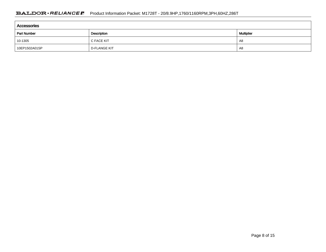| <b>Accessories</b> |                     |                   |  |  |  |  |
|--------------------|---------------------|-------------------|--|--|--|--|
| <b>Part Number</b> | Description         | <b>Multiplier</b> |  |  |  |  |
| 10-1305            | C FACE KIT          | A8                |  |  |  |  |
| 10EP1502A01SP      | <b>D-FLANGE KIT</b> | A8                |  |  |  |  |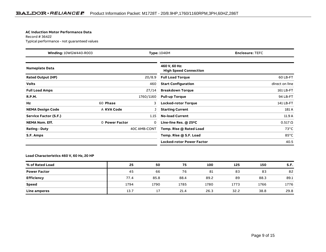#### **AC Induction Motor Performance Data**

Record # 36422Typical performance - not guaranteed values

|                          | Winding: 10WGW440-R003 |              | <b>Type: 1046M</b><br><b>Enclosure: TEFC</b>  |                |  |
|--------------------------|------------------------|--------------|-----------------------------------------------|----------------|--|
| <b>Nameplate Data</b>    |                        |              | 460 V, 60 Hz:<br><b>High Speed Connection</b> |                |  |
| <b>Rated Output (HP)</b> |                        | 20/8.9       | <b>Full Load Torque</b>                       | 60 LB-FT       |  |
| <b>Volts</b>             |                        | 460          | <b>Start Configuration</b>                    | direct on line |  |
| <b>Full Load Amps</b>    |                        | 27/14        | <b>Breakdown Torque</b>                       | 161 LB-FT      |  |
| <b>R.P.M.</b>            |                        | 1760/1160    | <b>Pull-up Torque</b>                         | 94 LB-FT       |  |
| Hz                       | 60 Phase               | 3            | <b>Locked-rotor Torque</b>                    | 141 LB-FT      |  |
| <b>NEMA Design Code</b>  | A KVA Code             |              | <b>Starting Current</b>                       | 181 A          |  |
| Service Factor (S.F.)    |                        | 1.15         | <b>No-load Current</b>                        | 11.9A          |  |
| <b>NEMA Nom. Eff.</b>    | 0 Power Factor         | 0            | Line-line Res. $@$ 25 <sup>o</sup> C          | $0.517 \Omega$ |  |
| <b>Rating - Duty</b>     |                        | 40C AMB-CONT | Temp. Rise @ Rated Load                       | $73^{\circ}$ C |  |
| S.F. Amps                |                        |              | Temp. Rise @ S.F. Load                        | $85^{\circ}$ C |  |
|                          |                        |              | <b>Locked-rotor Power Factor</b>              | 40.5           |  |

#### **Load Characteristics 460 V, 60 Hz, 20 HP**

| % of Rated Load     | 25   | 50   | 75   | 100  | 125  | 150  | S.F. |
|---------------------|------|------|------|------|------|------|------|
| <b>Power Factor</b> | 45   | 66   | 76   | 81   | 83   | 83   | 82   |
| <b>Efficiency</b>   | 77.4 | 85.8 | 88.4 | 89.2 | 89   | 88.3 | 89.1 |
| <b>Speed</b>        | 1794 | 1790 | 1785 | 1780 | 1773 | 1766 | 1776 |
| Line amperes        | 13.7 | 17   | 21.4 | 26.3 | 32.2 | 38.8 | 29.8 |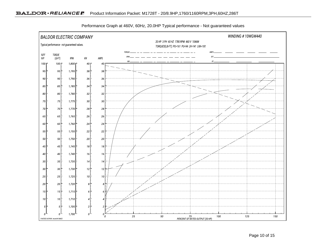

Performance Graph at 460V, 60Hz, 20.0HP Typical performance - Not guaranteed values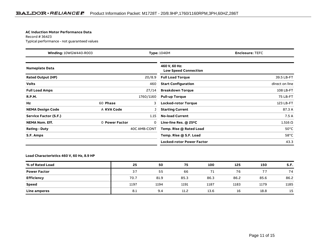#### **AC Induction Motor Performance Data**

Record # 36423Typical performance - not guaranteed values

|                              | Winding: 10WGW440-R003 |              | <b>Type: 1046M</b>                           | <b>Enclosure: TEFC</b> |
|------------------------------|------------------------|--------------|----------------------------------------------|------------------------|
| <b>Nameplate Data</b>        |                        |              | 460 V, 60 Hz:<br><b>Low Speed Connection</b> |                        |
| <b>Rated Output (HP)</b>     |                        | 20/8.9       | <b>Full Load Torque</b>                      | 39.5 LB-FT             |
| <b>Volts</b>                 |                        | 460          | <b>Start Configuration</b>                   | direct on line         |
| <b>Full Load Amps</b>        |                        | 27/14        | <b>Breakdown Torque</b>                      | 108 LB-FT              |
| <b>R.P.M.</b>                |                        | 1760/1160    | <b>Pull-up Torque</b>                        | 75 LB-FT               |
| Hz                           | 60 Phase               | 3            | <b>Locked-rotor Torque</b>                   | 123 LB-FT              |
| <b>NEMA Design Code</b>      | A KVA Code             |              | <b>Starting Current</b>                      | 87.3 A                 |
| <b>Service Factor (S.F.)</b> |                        | 1.15         | <b>No-load Current</b>                       | 7.5A                   |
| <b>NEMA Nom. Eff.</b>        | 0 Power Factor         | 0            | Line-line Res. $@$ 25 <sup>o</sup> C         | $1.516 \Omega$         |
| <b>Rating - Duty</b>         |                        | 40C AMB-CONT | Temp. Rise @ Rated Load                      | $50^{\circ}$ C         |
| S.F. Amps                    |                        |              | Temp. Rise @ S.F. Load                       | $58^{\circ}$ C         |
|                              |                        |              | <b>Locked-rotor Power Factor</b>             | 43.3                   |

#### **Load Characteristics 460 V, 60 Hz, 8.9 HP**

| % of Rated Load     | 25   | 50   | 75   | 100  | 125  | 150  | S.F. |
|---------------------|------|------|------|------|------|------|------|
| <b>Power Factor</b> | 37   | 55   | 66   | 71   | 76   | 77   | 74   |
| <b>Efficiency</b>   | 70.7 | 81.9 | 85.3 | 86.3 | 86.2 | 85.6 | 86.2 |
| Speed               | 1197 | 1194 | 1191 | 1187 | 1183 | 1179 | 1185 |
| Line amperes        | 8.1  | 9.4  | 11.2 | 13.6 | 16   | 18.8 | 15   |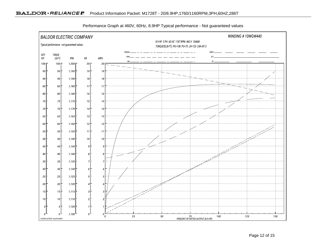

Performance Graph at 460V, 60Hz, 8.9HP Typical performance - Not guaranteed values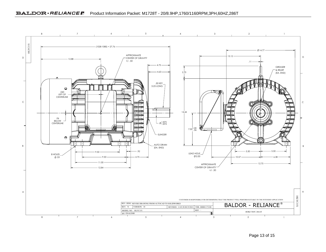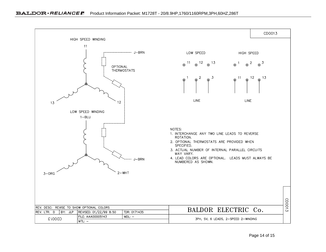